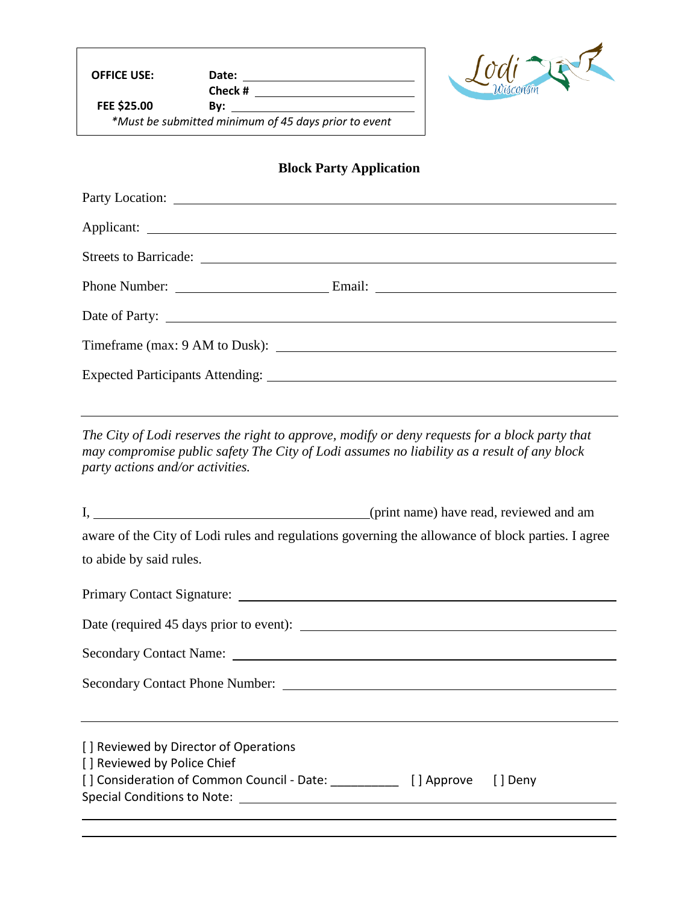**OFFICE USE: Date:** 

**Check # FEE \$25.00 By:** 

*\*Must be submitted minimum of 45 days prior to event*



## **Block Party Application**

| Party Location:                                                                                                                                                                                                                |  |
|--------------------------------------------------------------------------------------------------------------------------------------------------------------------------------------------------------------------------------|--|
|                                                                                                                                                                                                                                |  |
| Streets to Barricade: Lawrence and the state of the state of the state of the state of the state of the state of the state of the state of the state of the state of the state of the state of the state of the state of the s |  |
|                                                                                                                                                                                                                                |  |
|                                                                                                                                                                                                                                |  |
|                                                                                                                                                                                                                                |  |
|                                                                                                                                                                                                                                |  |
|                                                                                                                                                                                                                                |  |

*The City of Lodi reserves the right to approve, modify or deny requests for a block party that may compromise public safety The City of Lodi assumes no liability as a result of any block party actions and/or activities.*

| aware of the City of Lodi rules and regulations governing the allowance of block parties. I agree |  |  |  |  |
|---------------------------------------------------------------------------------------------------|--|--|--|--|
| to abide by said rules.                                                                           |  |  |  |  |
|                                                                                                   |  |  |  |  |
|                                                                                                   |  |  |  |  |
|                                                                                                   |  |  |  |  |
|                                                                                                   |  |  |  |  |
| [] Reviewed by Director of Operations                                                             |  |  |  |  |
| [] Reviewed by Police Chief                                                                       |  |  |  |  |
| [] Consideration of Common Council - Date: [2010] [3] Approve [3] Deny                            |  |  |  |  |
|                                                                                                   |  |  |  |  |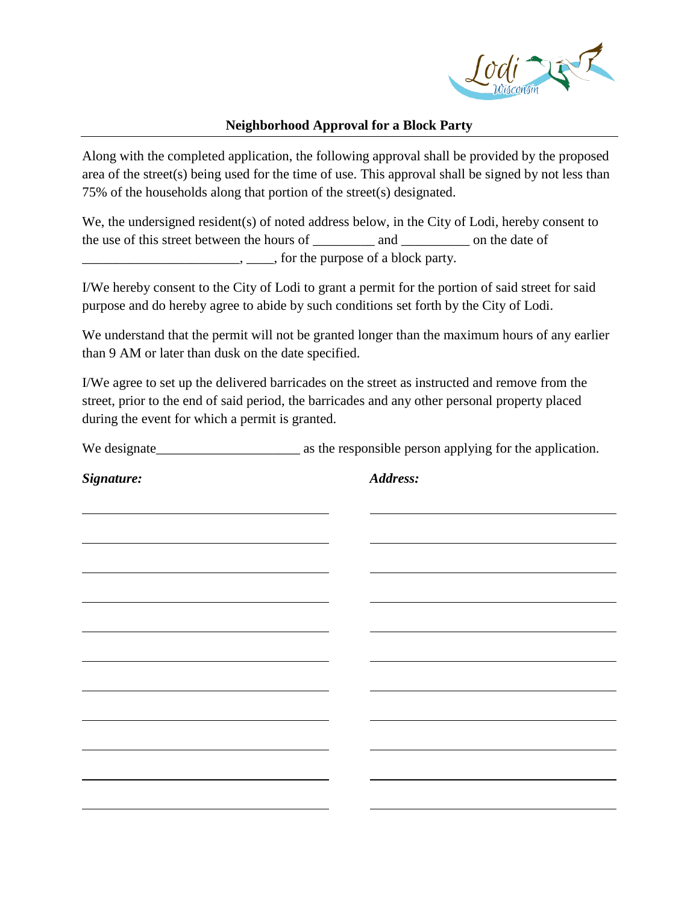

## **Neighborhood Approval for a Block Party**

Along with the completed application, the following approval shall be provided by the proposed area of the street(s) being used for the time of use. This approval shall be signed by not less than 75% of the households along that portion of the street(s) designated.

We, the undersigned resident(s) of noted address below, in the City of Lodi, hereby consent to the use of this street between the hours of and on the date of  $\ldots$ ,  $\ldots$ , for the purpose of a block party.

I/We hereby consent to the City of Lodi to grant a permit for the portion of said street for said purpose and do hereby agree to abide by such conditions set forth by the City of Lodi.

We understand that the permit will not be granted longer than the maximum hours of any earlier than 9 AM or later than dusk on the date specified.

I/We agree to set up the delivered barricades on the street as instructed and remove from the street, prior to the end of said period, the barricades and any other personal property placed during the event for which a permit is granted.

We designate\_\_\_\_\_\_\_\_\_\_\_\_\_\_\_\_\_\_\_\_\_ as the responsible person applying for the application.

*Signature: Address:*